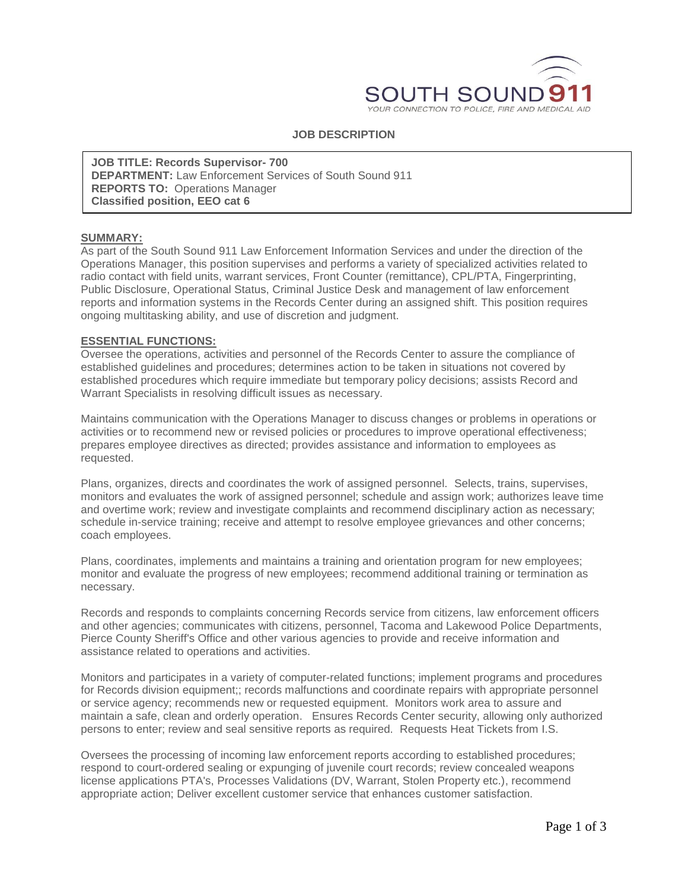

# **JOB DESCRIPTION**

**JOB TITLE: Records Supervisor- 700 DEPARTMENT:** Law Enforcement Services of South Sound 911 **REPORTS TO:** Operations Manager **Classified position, EEO cat 6**

#### **SUMMARY:**

As part of the South Sound 911 Law Enforcement Information Services and under the direction of the Operations Manager, this position supervises and performs a variety of specialized activities related to radio contact with field units, warrant services, Front Counter (remittance), CPL/PTA, Fingerprinting, Public Disclosure, Operational Status, Criminal Justice Desk and management of law enforcement reports and information systems in the Records Center during an assigned shift. This position requires ongoing multitasking ability, and use of discretion and judgment.

#### **ESSENTIAL FUNCTIONS:**

Oversee the operations, activities and personnel of the Records Center to assure the compliance of established guidelines and procedures; determines action to be taken in situations not covered by established procedures which require immediate but temporary policy decisions; assists Record and Warrant Specialists in resolving difficult issues as necessary.

Maintains communication with the Operations Manager to discuss changes or problems in operations or activities or to recommend new or revised policies or procedures to improve operational effectiveness; prepares employee directives as directed; provides assistance and information to employees as requested.

Plans, organizes, directs and coordinates the work of assigned personnel. Selects, trains, supervises, monitors and evaluates the work of assigned personnel; schedule and assign work; authorizes leave time and overtime work; review and investigate complaints and recommend disciplinary action as necessary; schedule in-service training; receive and attempt to resolve employee grievances and other concerns; coach employees.

Plans, coordinates, implements and maintains a training and orientation program for new employees; monitor and evaluate the progress of new employees; recommend additional training or termination as necessary.

Records and responds to complaints concerning Records service from citizens, law enforcement officers and other agencies; communicates with citizens, personnel, Tacoma and Lakewood Police Departments, Pierce County Sheriff's Office and other various agencies to provide and receive information and assistance related to operations and activities.

Monitors and participates in a variety of computer-related functions; implement programs and procedures for Records division equipment;; records malfunctions and coordinate repairs with appropriate personnel or service agency; recommends new or requested equipment. Monitors work area to assure and maintain a safe, clean and orderly operation. Ensures Records Center security, allowing only authorized persons to enter; review and seal sensitive reports as required. Requests Heat Tickets from I.S.

Oversees the processing of incoming law enforcement reports according to established procedures; respond to court-ordered sealing or expunging of juvenile court records; review concealed weapons license applications PTA's, Processes Validations (DV, Warrant, Stolen Property etc.), recommend appropriate action; Deliver excellent customer service that enhances customer satisfaction.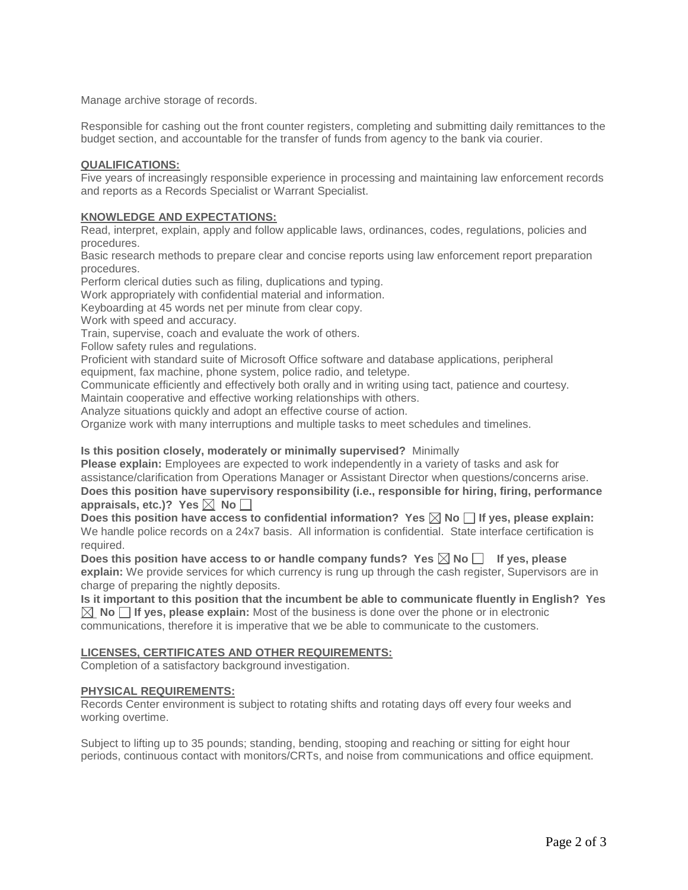Manage archive storage of records.

Responsible for cashing out the front counter registers, completing and submitting daily remittances to the budget section, and accountable for the transfer of funds from agency to the bank via courier.

## **QUALIFICATIONS:**

Five years of increasingly responsible experience in processing and maintaining law enforcement records and reports as a Records Specialist or Warrant Specialist.

## **KNOWLEDGE AND EXPECTATIONS:**

Read, interpret, explain, apply and follow applicable laws, ordinances, codes, regulations, policies and procedures.

Basic research methods to prepare clear and concise reports using law enforcement report preparation procedures.

Perform clerical duties such as filing, duplications and typing.

Work appropriately with confidential material and information.

Keyboarding at 45 words net per minute from clear copy.

Work with speed and accuracy.

Train, supervise, coach and evaluate the work of others.

Follow safety rules and regulations.

Proficient with standard suite of Microsoft Office software and database applications, peripheral equipment, fax machine, phone system, police radio, and teletype.

Communicate efficiently and effectively both orally and in writing using tact, patience and courtesy. Maintain cooperative and effective working relationships with others.

Analyze situations quickly and adopt an effective course of action.

Organize work with many interruptions and multiple tasks to meet schedules and timelines.

### **Is this position closely, moderately or minimally supervised?** Minimally

**Please explain:** Employees are expected to work independently in a variety of tasks and ask for assistance/clarification from Operations Manager or Assistant Director when questions/concerns arise. **Does this position have supervisory responsibility (i.e., responsible for hiring, firing, performance**  appraisals, etc.)? Yes  $\boxtimes$  No  $\Box$ 

Does this position have access to confidential information? Yes  $\boxtimes$  No  $\Box$  If yes, please explain: We handle police records on a 24x7 basis. All information is confidential. State interface certification is required.

Does this position have access to or handle company funds? Yes  $\boxtimes$  No  $\Box$  If yes, please **explain:** We provide services for which currency is rung up through the cash register, Supervisors are in charge of preparing the nightly deposits.

**Is it important to this position that the incumbent be able to communicate fluently in English? Yes**   $\boxtimes$  **No**  $\Box$  **If yes, please explain:** Most of the business is done over the phone or in electronic communications, therefore it is imperative that we be able to communicate to the customers.

### **LICENSES, CERTIFICATES AND OTHER REQUIREMENTS:**

Completion of a satisfactory background investigation.

### **PHYSICAL REQUIREMENTS:**

Records Center environment is subject to rotating shifts and rotating days off every four weeks and working overtime.

Subject to lifting up to 35 pounds; standing, bending, stooping and reaching or sitting for eight hour periods, continuous contact with monitors/CRTs, and noise from communications and office equipment.